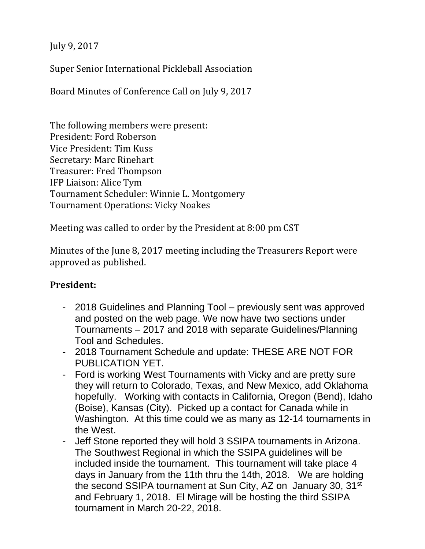July 9, 2017

Super Senior International Pickleball Association

Board Minutes of Conference Call on July 9, 2017

The following members were present: President: Ford Roberson Vice President: Tim Kuss Secretary: Marc Rinehart Treasurer: Fred Thompson IFP Liaison: Alice Tym Tournament Scheduler: Winnie L. Montgomery Tournament Operations: Vicky Noakes

Meeting was called to order by the President at 8:00 pm CST

Minutes of the June 8, 2017 meeting including the Treasurers Report were approved as published.

# **President:**

- 2018 Guidelines and Planning Tool previously sent was approved and posted on the web page. We now have two sections under Tournaments – 2017 and 2018 with separate Guidelines/Planning Tool and Schedules.
- 2018 Tournament Schedule and update: THESE ARE NOT FOR PUBLICATION YET.
- Ford is working West Tournaments with Vicky and are pretty sure they will return to Colorado, Texas, and New Mexico, add Oklahoma hopefully. Working with contacts in California, Oregon (Bend), Idaho (Boise), Kansas (City). Picked up a contact for Canada while in Washington. At this time could we as many as 12-14 tournaments in the West.
- Jeff Stone reported they will hold 3 SSIPA tournaments in Arizona. The Southwest Regional in which the SSIPA guidelines will be included inside the tournament. This tournament will take place 4 days in January from the 11th thru the 14th, 2018. We are holding the second SSIPA tournament at Sun City, AZ on January 30, 31<sup>st</sup> and February 1, 2018. El Mirage will be hosting the third SSIPA tournament in March 20-22, 2018.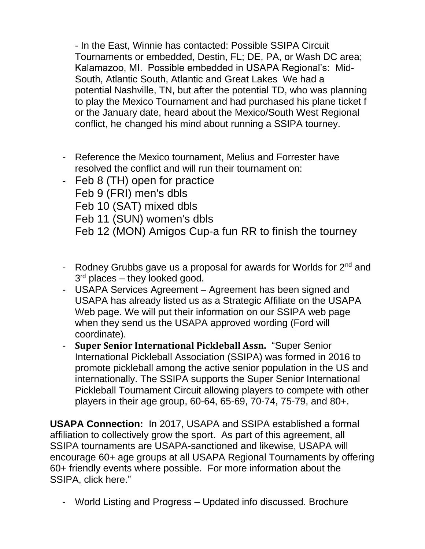- In the East, Winnie has contacted: Possible SSIPA Circuit Tournaments or embedded, Destin, FL; DE, PA, or Wash DC area; Kalamazoo, MI. Possible embedded in USAPA Regional's: Mid-South, Atlantic South, Atlantic and Great Lakes We had a potential Nashville, TN, but after the potential TD, who was planning to play the Mexico Tournament and had purchased his plane ticket f or the January date, heard about the Mexico/South West Regional conflict, he changed his mind about running a SSIPA tourney.

- Reference the Mexico tournament, Melius and Forrester have resolved the conflict and will run their tournament on:
- Feb 8 (TH) open for practice Feb 9 (FRI) men's dbls Feb 10 (SAT) mixed dbls Feb 11 (SUN) women's dbls Feb 12 (MON) Amigos Cup-a fun RR to finish the tourney
- Rodney Grubbs gave us a proposal for awards for Worlds for  $2<sup>nd</sup>$  and 3<sup>rd</sup> places – they looked good.
- USAPA Services Agreement Agreement has been signed and USAPA has already listed us as a Strategic Affiliate on the USAPA Web page. We will put their information on our SSIPA web page when they send us the USAPA approved wording (Ford will coordinate).
- **Super Senior International Pickleball Assn.** "Super Senior International Pickleball Association (SSIPA) was formed in 2016 to promote pickleball among the active senior population in the US and internationally. The SSIPA supports the Super Senior International Pickleball Tournament Circuit allowing players to compete with other players in their age group, 60-64, 65-69, 70-74, 75-79, and 80+.

**USAPA Connection:** In 2017, USAPA and SSIPA established a formal affiliation to collectively grow the sport. As part of this agreement, all SSIPA tournaments are USAPA-sanctioned and likewise, USAPA will encourage 60+ age groups at all USAPA Regional Tournaments by offering 60+ friendly events where possible. For more information about the SSIPA, [click here.](http://www.ssipa-pb.org/)"

- World Listing and Progress – Updated info discussed. Brochure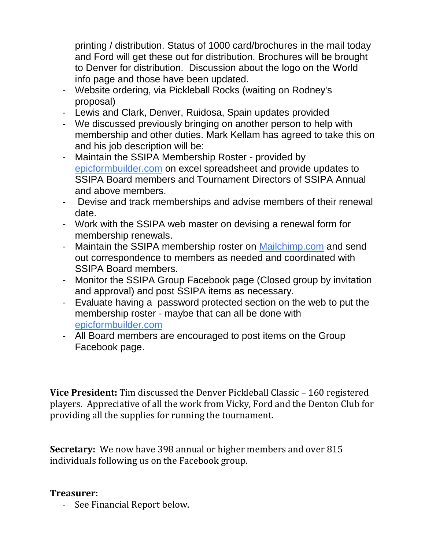printing / distribution. Status of 1000 card/brochures in the mail today and Ford will get these out for distribution. Brochures will be brought to Denver for distribution. Discussion about the logo on the World info page and those have been updated.

- Website ordering, via Pickleball Rocks (waiting on Rodney's proposal)
- Lewis and Clark, Denver, Ruidosa, Spain updates provided
- We discussed previously bringing on another person to help with membership and other duties. Mark Kellam has agreed to take this on and his job description will be:
- Maintain the SSIPA Membership Roster provided by [epicformbuilder.com](http://epicformbuilder.com/) on excel spreadsheet and provide updates to SSIPA Board members and Tournament Directors of SSIPA Annual and above members.
- Devise and track memberships and advise members of their renewal date.
- Work with the SSIPA web master on devising a renewal form for membership renewals.
- Maintain the SSIPA membership roster on [Mailchimp.com](http://mailchimp.com/) and send out correspondence to members as needed and coordinated with SSIPA Board members.
- Monitor the SSIPA Group Facebook page (Closed group by invitation and approval) and post SSIPA items as necessary.
- Evaluate having a password protected section on the web to put the membership roster - maybe that can all be done with [epicformbuilder.com](http://epicformbuilder.com/)
- All Board members are encouraged to post items on the Group Facebook page.

**Vice President:** Tim discussed the Denver Pickleball Classic – 160 registered players. Appreciative of all the work from Vicky, Ford and the Denton Club for providing all the supplies for running the tournament.

**Secretary:** We now have 398 annual or higher members and over 815 individuals following us on the Facebook group.

## **Treasurer:**

- See Financial Report below.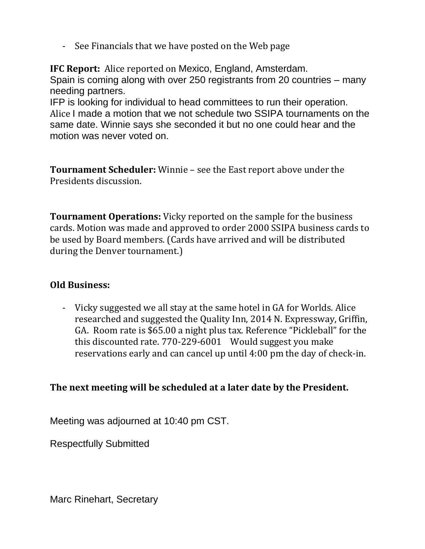- See Financials that we have posted on the Web page

**IFC Report:** Alice reported on Mexico, England, Amsterdam. Spain is coming along with over 250 registrants from 20 countries – many needing partners.

IFP is looking for individual to head committees to run their operation. Alice I made a motion that we not schedule two SSIPA tournaments on the same date. Winnie says she seconded it but no one could hear and the motion was never voted on.

**Tournament Scheduler:** Winnie – see the East report above under the Presidents discussion.

**Tournament Operations:** Vicky reported on the sample for the business cards. Motion was made and approved to order 2000 SSIPA business cards to be used by Board members. (Cards have arrived and will be distributed during the Denver tournament.)

# **Old Business:**

- Vicky suggested we all stay at the same hotel in GA for Worlds. Alice researched and suggested the Quality Inn, 2014 N. Expressway, Griffin, GA. Room rate is \$65.00 a night plus tax. Reference "Pickleball" for the this discounted rate. 770-229-6001 Would suggest you make reservations early and can cancel up until 4:00 pm the day of check-in.

# **The next meeting will be scheduled at a later date by the President.**

Meeting was adjourned at 10:40 pm CST.

Respectfully Submitted

Marc Rinehart, Secretary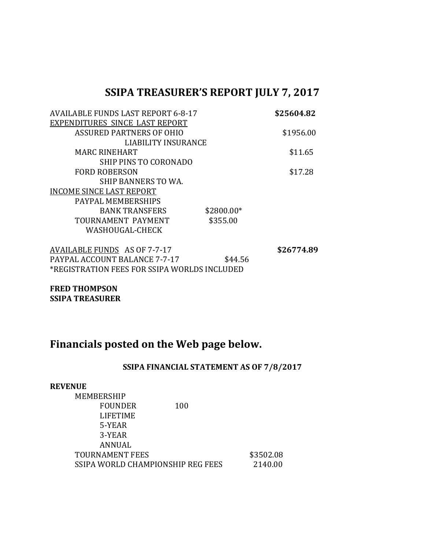# **SSIPA TREASURER'S REPORT JULY 7, 2017**

| <b>AVAILABLE FUNDS LAST REPORT 6-8-17</b> |            | \$25604.82 |
|-------------------------------------------|------------|------------|
| EXPENDITURES SINCE LAST REPORT            |            |            |
| <b>ASSURED PARTNERS OF OHIO</b>           |            | \$1956.00  |
| LIABILITY INSURANCE                       |            |            |
| <b>MARC RINEHART</b>                      |            | \$11.65    |
| SHIP PINS TO CORONADO                     |            |            |
| <b>FORD ROBERSON</b>                      |            | \$17.28    |
| SHIP BANNERS TO WA.                       |            |            |
| <b>INCOME SINCE LAST REPORT</b>           |            |            |
| PAYPAL MEMBERSHIPS                        |            |            |
| <b>BANK TRANSFERS</b>                     | \$2800.00* |            |
| TOURNAMENT PAYMENT                        | \$355.00   |            |
| WASHOUGAL-CHECK                           |            |            |
|                                           |            |            |

AVAILABLE FUNDS AS OF 7-7-17<br>PAYPAL ACCOUNT BALANCE 7-7-17 \$44.56 PAYPAL ACCOUNT BALANCE 7-7-17 \*REGISTRATION FEES FOR SSIPA WORLDS INCLUDED

**FRED THOMPSON SSIPA TREASURER**

# **Financials posted on the Web page below.**

#### **SSIPA FINANCIAL STATEMENT AS OF 7/8/2017**

| <b>REVENUE</b>                    |     |           |
|-----------------------------------|-----|-----------|
| MEMBERSHIP                        |     |           |
| <b>FOUNDER</b>                    | 100 |           |
| <b>LIFETIME</b>                   |     |           |
| 5-YEAR                            |     |           |
| 3-YEAR                            |     |           |
| ANNUAL                            |     |           |
| <b>TOURNAMENT FEES</b>            |     | \$3502.08 |
| SSIPA WORLD CHAMPIONSHIP REG FEES |     | 2140.00   |